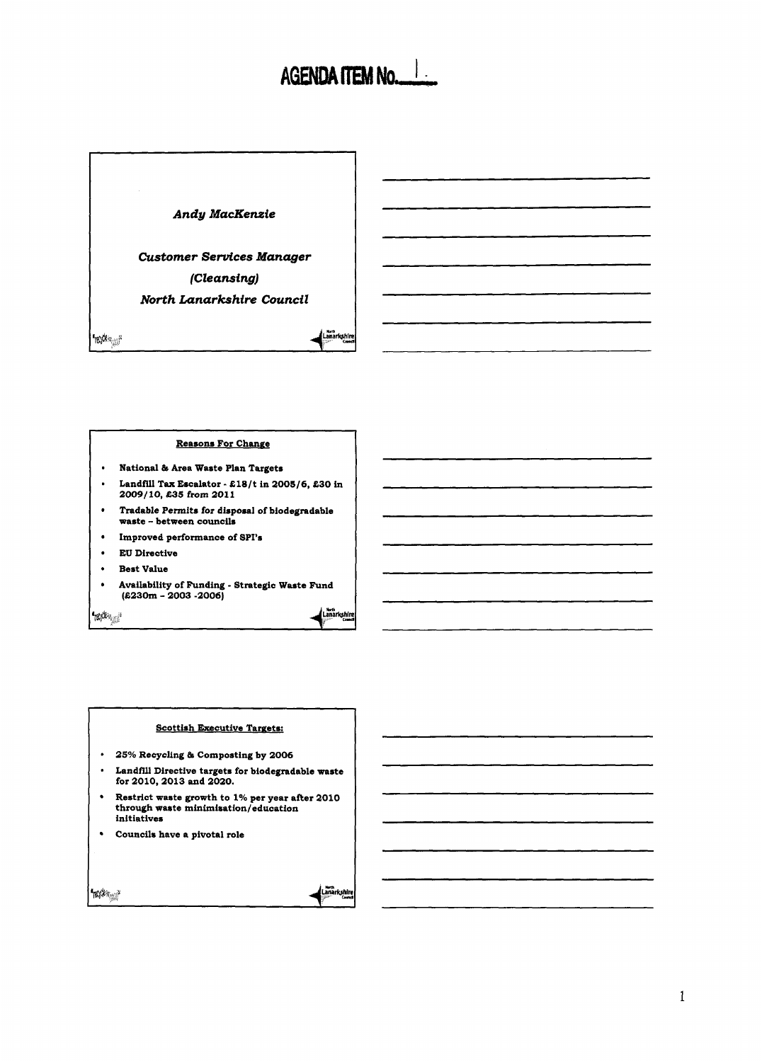# AGENDA ITEM No.



# **Reasons For Change**

- National & Area Waste Plan Targets  $\bullet$
- Landfill Tax Escalator  $\pounds18/t$  in 2005/6, £30 in  $\bullet$ **2009/** 10, **S35** from **201 <sup>1</sup>**
- $\bullet$ Tradable Permits for disposal of biodegradable waste - between councils
- Improved performance of SPI's  $\bullet$
- **EU** Directive
- Best Value
- Availability **of** Funding Strategic Waste Fund  $(£230m - 2003 - 2006)$

'm<sup>i</sup>n

Lanarkshi

#### Scottish Executive Targets:

- 25% Recycling & Composting by 2006
- Landfill Directive targets for biodegradable waste <sup>1</sup>for 2010,2013 and 2020.
- $\bullet$ Restrict waste growth to 1% per year after 2010 through waste minimisation/education initiatives
- $\bullet$ Councils have a pivotal role

havke<sub>ga</sub>?

| <b>Marth</b> |            |
|--------------|------------|
|              | Lanarkshin |
|              | Counc      |
| ým           |            |
|              |            |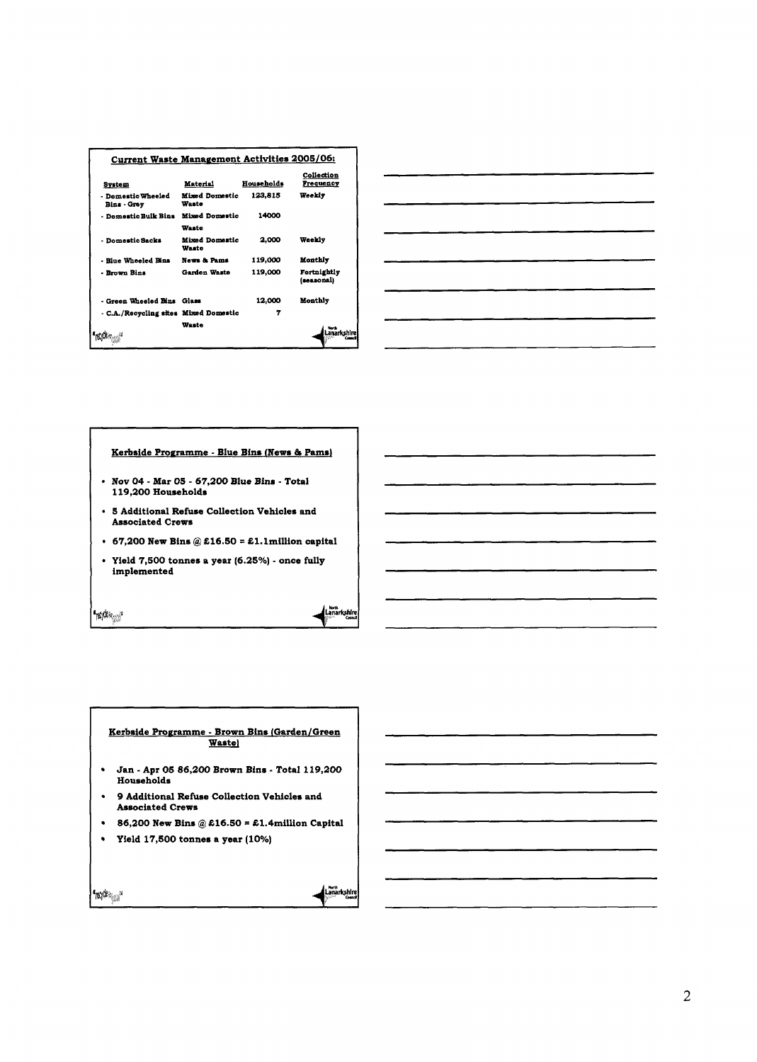| Current Waste Management Activities 2005/06: |                                |            |                           |
|----------------------------------------------|--------------------------------|------------|---------------------------|
| System                                       | Material                       | Households | Collection<br>Frequency   |
| - Domestic Wheeled<br>Bins - Grey            | <b>Mixed Domestic</b><br>Waste | 123.815    | Weekly                    |
| - Domestic Bulk Bins                         | Mized Domestic                 | 14000      |                           |
|                                              | Waste                          |            |                           |
| - Domestic Sacks                             | <b>Mixed Domestic</b><br>Waste | 2.000      | Weekly                    |
| - Riue Wheeled Bins                          | News & Pams                    | 119,000    | Monthly                   |
| - Brown Bins                                 | Garden Waste                   | 119,000    | Fortnightly<br>(seasonal) |
| - Green Wheeled Bins Glass                   |                                | 12,000     | Monthiv                   |
| - C.A./Recycling sites Mixed Domestic        |                                | 7          |                           |
|                                              | Waste                          |            |                           |



### Kerbside Programme - Blue Bins (News & Pams)

- Nov 04 Mar 05 67,200 Blue Bins Total 119,200 Households
- 5 Additional Refuse Collection Vehicles and Associated Crews
- $\cdot$  67,200 New Bins @ £16.50 = £1.1 million capital

Lanarkshire

Lanarkshire

Yield 7,500 tonnes a year (6.25%) - once fully implemented

"nythings"

*Frequency* 

 $\mathbf{I}$ 

| Kerbside Programme - Brown Bins (Garden/Green<br><b>Wastel</b>           |
|--------------------------------------------------------------------------|
| Jan - Apr 05 86,200 Brown Bins - Total 119,200<br>Households             |
| • 9 Additional Refuse Collection Vehicles and<br><b>Associated Crews</b> |
| 86,200 New Bins @ £16.50 = £1.4 million Capital                          |
| Yield 17,500 tonnes a year (10%)                                         |
|                                                                          |

|  | an and the contract of the contract of the contract of the contract of the contract of the contract of the contract of the contract of the contract of the contract of the contract of the contract of the contract of the con |  |  |  |  |
|--|--------------------------------------------------------------------------------------------------------------------------------------------------------------------------------------------------------------------------------|--|--|--|--|
|  |                                                                                                                                                                                                                                |  |  |  |  |
|  | and the contract of the contract of the contract of the contract of the contract of the contract of the contract of                                                                                                            |  |  |  |  |
|  |                                                                                                                                                                                                                                |  |  |  |  |
|  |                                                                                                                                                                                                                                |  |  |  |  |
|  |                                                                                                                                                                                                                                |  |  |  |  |
|  | .<br>1980 - Marie Marie Marie Marie Marie Marie Marie Marie Marie Marie Marie Marie Marie Marie Marie Marie Marie                                                                                                              |  |  |  |  |
|  |                                                                                                                                                                                                                                |  |  |  |  |
|  |                                                                                                                                                                                                                                |  |  |  |  |
|  |                                                                                                                                                                                                                                |  |  |  |  |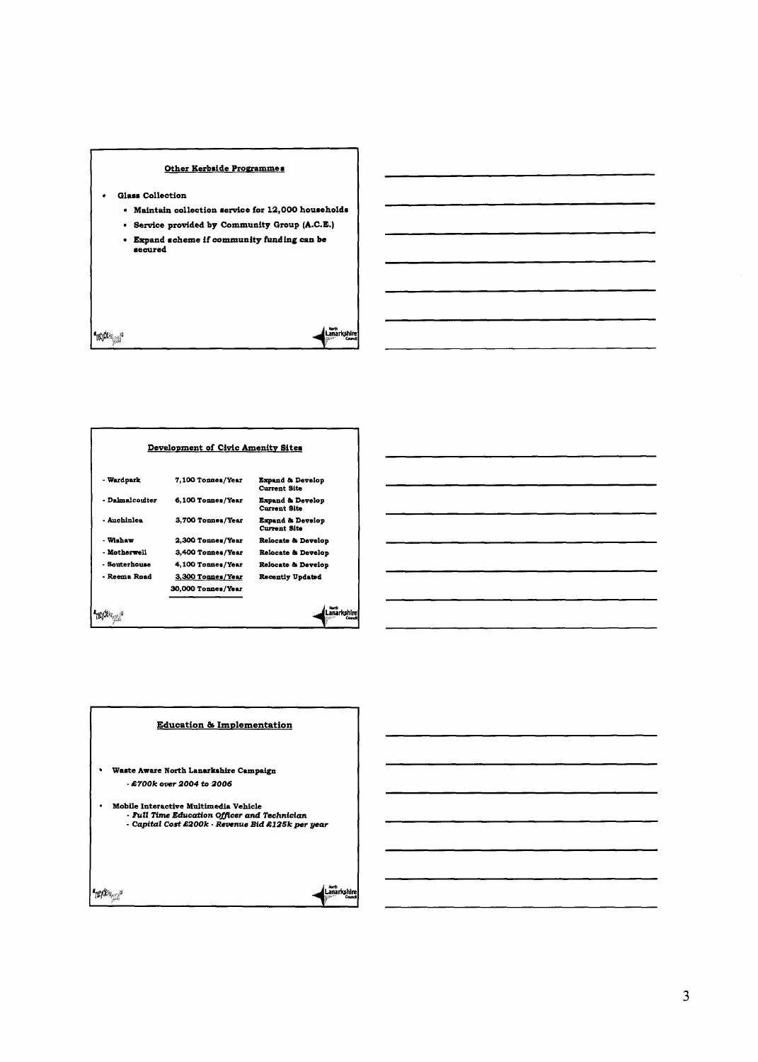## Other Kerbside Programmes

 $\bullet$ **Glass Collection** 

**Troping** 

**Maintain collection service for 12,000 households** 

<sub>Korth</sub><br>Lanarkshire

- **Service provided by Community Group (A.C.E.)**
- **Expand scheme If community funding can be**

**Development of Civic Amenity Sites** <sup>~</sup>**Wudpuk 7,100 TonnesIYcu Expand & Develop**<br>Current Site 1 - **Ddmdcodter 6,100 TonnesIYear Expand** *h* **Develop Current Site**  , **-Auchinlca 3,700 TonnasIYeu Expand & Develop**<br>Current Site **Relocate** *b* **Develop • Wishaw 2,300 Tonnes/Year** - **Motherwell 3,400 TonueslYeu Relocate** *h* **Develop Relocate** *h* **Develop**  - **Solrterhorw 4,100 TonuowlYeu**  - Reema Road **3,300 Tonnes/Year Recently Updahd 30,oOO TonnesIYau**  Lanarkshire mak<sub>sa</sub>